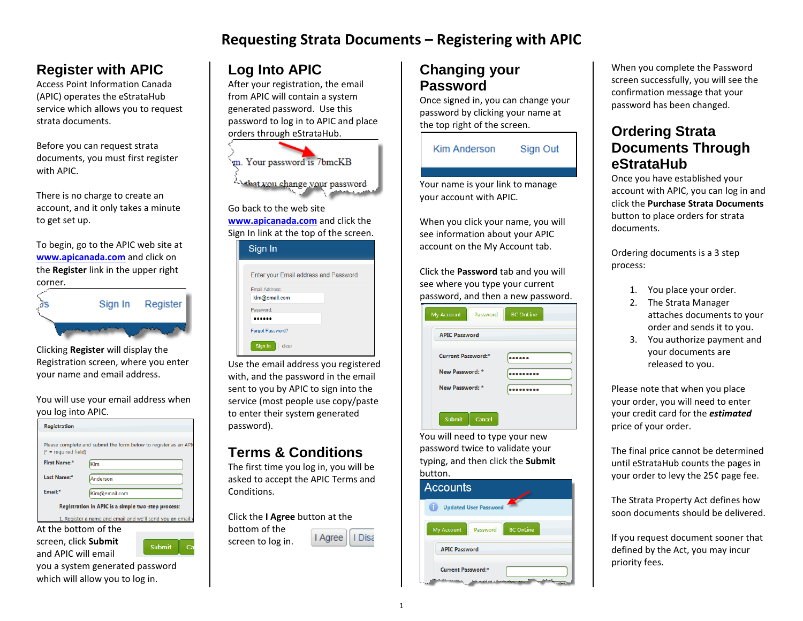## **Requesting Strata Documents – Registering with APIC**

## **Register with APIC**

Access Point Information Canada (APIC) operates the eStrataHub service which allows you to request strata documents.

Before you can request strata documents, you must first register with APIC.

There is no charge to create an account, and it only takes a minute to get set up.

To begin, go to the APIC web site at **[www.apicanada.com](http://www.apicanada.com/)** and click on the **Register** link in the upper right corner.

| Sign In | Register |
|---------|----------|
|         |          |

Clicking **Register** will display the Registration screen, where you enter your name and email address.

You will use your email address when you log into APIC.

| <b>Registration</b>                                |                                                                 |  |
|----------------------------------------------------|-----------------------------------------------------------------|--|
| $(*)$ = required field)                            | Please complete and submit the form below to register as an API |  |
| First Name:*                                       | Kim                                                             |  |
| Last Name:*                                        | Anderson                                                        |  |
| Email:*                                            | Kim@email.com                                                   |  |
| Registration in APIC is a simple two-step process: |                                                                 |  |
|                                                    | 1. Register a name and email and we'll send you an email y      |  |

screen, click **Submit** and APIC will email



you a system generated password which will allow you to log in.

# **Log Into APIC**

After your registration, the email from APIC will contain a system generated password. Use this password to log in to APIC and place orders through eStrataHub.



**[www.apicanada.com](http://www.apicanada.com/)** and click the Sign In link at the top of the screen.

| Sign In                                |
|----------------------------------------|
| Enter your Email address and Password  |
| <b>Email Address:</b><br>kim@email.com |
| Password:                              |
| <b>Forgot Password?</b>                |
| Sign In<br>clear                       |

Use the email address you registered with, and the password in the email sent to you by APIC to sign into the service (most people use copy/paste to enter their system generated password).

## **Terms & Conditions**

The first time you log in, you will be asked to accept the APIC Terms and Conditions.

Click the **I Agree** button at the bottom of the I Agree I Disa screen to log in.

## **Changing your Password**

Once signed in, you can change your password by clicking your name at the top right of the screen.

| Kim Anderson | Sign Out |
|--------------|----------|
|              |          |

Your name is your link to manage your account with APIC.

When you click your name, you will see information about your APIC account on the My Account tab.

Click the **Password** tab and you will see where you type your current password, and then a new password.

| <b>APIC Password</b>      |  |
|---------------------------|--|
| <b>Current Password:*</b> |  |
| New Password: *           |  |
| New Password: *           |  |

You will need to type your new password twice to validate your typing, and then click the **Submit** button.



When you complete the Password screen successfully, you will see the confirmation message that your password has been changed.

#### **Ordering Strata Documents Through eStrataHub**

Once you have established your account with APIC, you can log in and click the **Purchase Strata Documents**  button to place orders for strata documents.

Ordering documents is a 3 step process:

- 1. You place your order.
- 2. The Strata Manager
- attaches documents to your order and sends it to you.
- 3. You authorize payment and your documents are released to you.

Please note that when you place your order, you will need to enter your credit card for the *estimated* price of your order.

The final price cannot be determined until eStrataHub counts the pages in your order to levy the 25¢ page fee.

The Strata Property Act defines how soon documents should be delivered.

If you request document sooner that defined by the Act, you may incur priority fees.